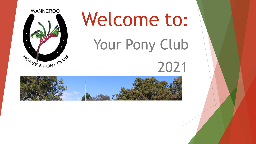

# Welcome to: Your Pony Club

## 2021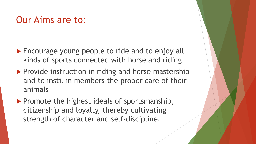## Our Aims are to:

- ▶ Encourage young people to ride and to enjoy all kinds of sports connected with horse and riding
- $\blacktriangleright$  Provide instruction in riding and horse mastership and to instil in members the proper care of their animals
- $\blacktriangleright$  Promote the highest ideals of sportsmanship, citizenship and loyalty, thereby cultivating strength of character and self-discipline.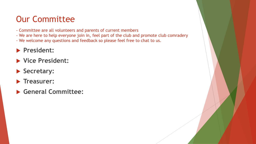## Our Committee

- Committee are all volunteers and parents of current members
- We are here to help everyone join in, feel part of the club and promote club comradery
- We welcome any questions and feedback so please feel free to chat to us.

#### **President:**

- **Vice President:**
- **Secretary:**
- **Treasurer:**
- **General Committee:**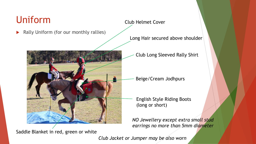## Uniform

Rally Uniform (for our monthly rallies)



Saddle Blanket in red, green or white

#### Club Helmet Cover

Long Hair secured above shoulder

Club Long Sleeved Rally Shirt

Beige/Cream Jodhpurs

English Style Riding Boots (long or short)

*NO Jewellery except extra small stud earrings no more than 5mm diameter*

*Club Jacket or Jumper may be also worn*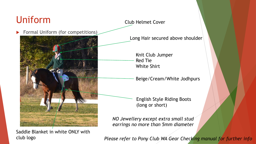## Uniform

#### Club Helmet Cover

Formal Uniform (for competitions)



Long Hair secured above shoulder

Knit Club Jumper Red Tie White Shirt

Beige/Cream/White Jodhpurs

English Style Riding Boots (long or short)

*NO Jewellery except extra small stud earrings no more than 5mm diameter*

Saddle Blanket in white ONLY with club logo

*Please refer to Pony Club WA Gear Checking manual for further info*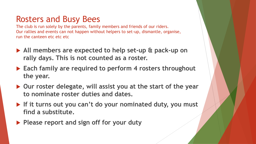## Rosters and Busy Bees

The club is run solely by the parents, family members and friends of our riders. Our rallies and events can not happen without helpers to set-up, dismantle, organise, run the canteen etc etc etc

- **All members are expected to help set-up & pack-up on rally days. This is not counted as a roster.**
- **Each family are required to perform 4 rosters throughout the year.**
- **Our roster delegate, will assist you at the start of the year to nominate roster duties and dates.**
- **If it turns out you can't do your nominated duty, you must find a substitute.**
- **Please report and sign off for your duty**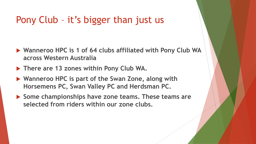## Pony Club – it's bigger than just us

- **Wanneroo HPC is 1 of 64 clubs affiliated with Pony Club WA across Western Australia**
- **There are 13 zones within Pony Club WA.**
- **Wanneroo HPC is part of the Swan Zone, along with Horsemens PC, Swan Valley PC and Herdsman PC.**
- **Some championships have zone teams. These teams are selected from riders within our zone clubs.**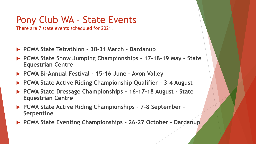## Pony Club WA – State Events

There are 7 state events scheduled for 2021.

- **PCWA State Tetrathlon – 30-31 March – Dardanup**
- **PCWA State Show Jumping Championships – 17-18-19 May – State Equestrian Centre**
- **PCWA Bi-Annual Festival – 15-16 June – Avon Valley**
- **PCWA State Active Riding Championship Qualifier – 3-4 August**
- **PCWA State Dressage Championships – 16-17-18 August – State Equestrian Centre**
- **PCWA State Active Riding Championships – 7-8 September – Serpentine**
- **PCWA State Eventing Championships – 26-27 October - Dardanup**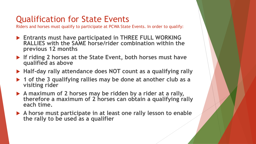## Qualification for State Events

Riders and horses must qualify to participate at PCWA State Events. In order to qualify:

- **Entrants must have participated in THREE FULL WORKING RALLIES with the SAME horse/rider combination within the previous 12 months**
- **If riding 2 horses at the State Event, both horses must have qualified as above**
- **Half-day rally attendance does NOT count as a qualifying rally**
- **1 of the 3 qualifying rallies may be done at another club as a visiting rider**
- **A maximum of 2 horses may be ridden by a rider at a rally, therefore a maximum of 2 horses can obtain a qualifying rally each time.**
- **A horse must participate in at least one rally lesson to enable the rally to be used as a qualifier**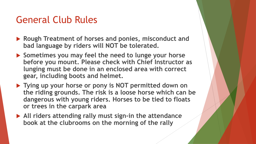## General Club Rules

- **Rough Treatment of horses and ponies, misconduct and bad language by riders will NOT be tolerated.**
- **Sometimes you may feel the need to lunge your horse before you mount. Please check with Chief Instructor as lunging must be done in an enclosed area with correct gear, including boots and helmet.**
- **Tying up your horse or pony is NOT permitted down on the riding grounds. The risk is a loose horse which can be dangerous with young riders. Horses to be tied to floats or trees in the carpark area**
- **All riders attending rally must sign-in the attendance book at the clubrooms on the morning of the rally**